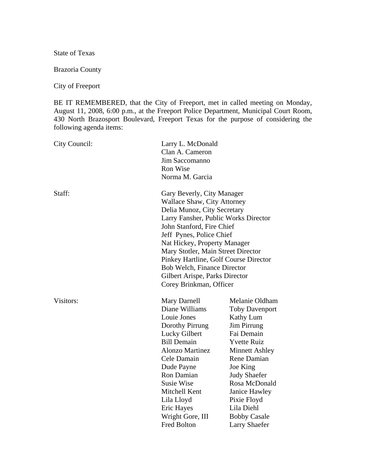State of Texas

Brazoria County

City of Freeport

BE IT REMEMBERED, that the City of Freeport, met in called meeting on Monday, August 11, 2008, 6:00 p.m., at the Freeport Police Department, Municipal Court Room, 430 North Brazosport Boulevard, Freeport Texas for the purpose of considering the following agenda items:

| City Council: | Larry L. McDonald<br>Clan A. Cameron<br>Jim Saccomanno<br>Ron Wise<br>Norma M. Garcia                                                                                                                                                                                                                                                                                                                       |                                                                                                                                                                                                                                                                                                         |
|---------------|-------------------------------------------------------------------------------------------------------------------------------------------------------------------------------------------------------------------------------------------------------------------------------------------------------------------------------------------------------------------------------------------------------------|---------------------------------------------------------------------------------------------------------------------------------------------------------------------------------------------------------------------------------------------------------------------------------------------------------|
| Staff:        | Gary Beverly, City Manager<br><b>Wallace Shaw, City Attorney</b><br>Delia Munoz, City Secretary<br>Larry Fansher, Public Works Director<br>John Stanford, Fire Chief<br>Jeff Pynes, Police Chief<br>Nat Hickey, Property Manager<br>Mary Stotler, Main Street Director<br>Pinkey Hartline, Golf Course Director<br>Bob Welch, Finance Director<br>Gilbert Arispe, Parks Director<br>Corey Brinkman, Officer |                                                                                                                                                                                                                                                                                                         |
| Visitors:     | Mary Darnell<br>Diane Williams<br>Louie Jones<br>Dorothy Pirrung<br>Lucky Gilbert<br><b>Bill Demain</b><br><b>Alonzo Martinez</b><br>Cele Damain<br>Dude Payne<br>Ron Damian<br><b>Susie Wise</b><br>Mitchell Kent<br>Lila Lloyd<br>Eric Hayes<br>Wright Gore, III<br><b>Fred Bolton</b>                                                                                                                    | Melanie Oldham<br><b>Toby Davenport</b><br>Kathy Lum<br><b>Jim Pirrung</b><br>Fai Demain<br><b>Yvette Ruiz</b><br><b>Minnett Ashley</b><br>Rene Damian<br>Joe King<br><b>Judy Shaefer</b><br>Rosa McDonald<br>Janice Hawley<br>Pixie Floyd<br>Lila Diehl<br><b>Bobby Casale</b><br><b>Larry Shaefer</b> |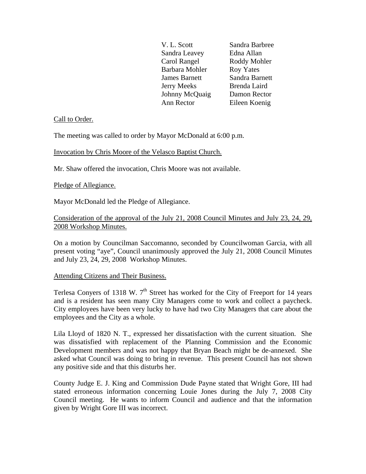| V. L. Scott          | Sandra Barbree   |
|----------------------|------------------|
| Sandra Leavey        | Edna Allan       |
| Carol Rangel         | Roddy Mohler     |
| Barbara Mohler       | <b>Roy Yates</b> |
| <b>James Barnett</b> | Sandra Barnett   |
| <b>Jerry Meeks</b>   | Brenda Laird     |
| Johnny McQuaig       | Damon Rector     |
| Ann Rector           | Eileen Koenig    |

#### Call to Order.

The meeting was called to order by Mayor McDonald at 6:00 p.m.

Invocation by Chris Moore of the Velasco Baptist Church.

Mr. Shaw offered the invocation, Chris Moore was not available.

#### Pledge of Allegiance.

Mayor McDonald led the Pledge of Allegiance.

# Consideration of the approval of the July 21, 2008 Council Minutes and July 23, 24, 29, 2008 Workshop Minutes.

On a motion by Councilman Saccomanno, seconded by Councilwoman Garcia, with all present voting "aye", Council unanimously approved the July 21, 2008 Council Minutes and July 23, 24, 29, 2008 Workshop Minutes.

#### Attending Citizens and Their Business.

Terlesa Conyers of 1318 W.  $7<sup>th</sup>$  Street has worked for the City of Freeport for 14 years and is a resident has seen many City Managers come to work and collect a paycheck. City employees have been very lucky to have had two City Managers that care about the employees and the City as a whole.

Lila Lloyd of 1820 N. T., expressed her dissatisfaction with the current situation. She was dissatisfied with replacement of the Planning Commission and the Economic Development members and was not happy that Bryan Beach might be de-annexed. She asked what Council was doing to bring in revenue. This present Council has not shown any positive side and that this disturbs her.

County Judge E. J. King and Commission Dude Payne stated that Wright Gore, III had stated erroneous information concerning Louie Jones during the July 7, 2008 City Council meeting. He wants to inform Council and audience and that the information given by Wright Gore III was incorrect.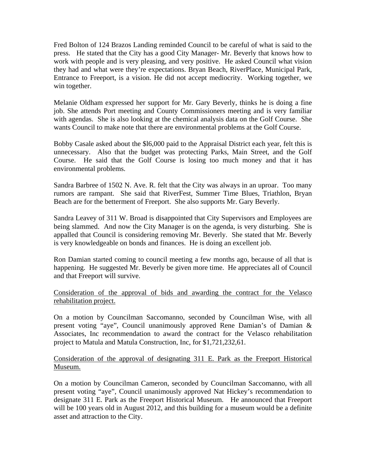Fred Bolton of 124 Brazos Landing reminded Council to be careful of what is said to the press. He stated that the City has a good City Manager- Mr. Beverly that knows how to work with people and is very pleasing, and very positive. He asked Council what vision they had and what were they're expectations. Bryan Beach, RiverPlace, Municipal Park, Entrance to Freeport, is a vision. He did not accept mediocrity. Working together, we win together.

Melanie Oldham expressed her support for Mr. Gary Beverly, thinks he is doing a fine job. She attends Port meeting and County Commissioners meeting and is very familiar with agendas. She is also looking at the chemical analysis data on the Golf Course. She wants Council to make note that there are environmental problems at the Golf Course.

Bobby Casale asked about the \$l6,000 paid to the Appraisal District each year, felt this is unnecessary. Also that the budget was protecting Parks, Main Street, and the Golf Course. He said that the Golf Course is losing too much money and that it has environmental problems.

Sandra Barbree of 1502 N. Ave. R. felt that the City was always in an uproar. Too many rumors are rampant. She said that RiverFest, Summer Time Blues, Triathlon, Bryan Beach are for the betterment of Freeport. She also supports Mr. Gary Beverly.

Sandra Leavey of 311 W. Broad is disappointed that City Supervisors and Employees are being slammed. And now the City Manager is on the agenda, is very disturbing. She is appalled that Council is considering removing Mr. Beverly. She stated that Mr. Beverly is very knowledgeable on bonds and finances. He is doing an excellent job.

Ron Damian started coming to council meeting a few months ago, because of all that is happening. He suggested Mr. Beverly be given more time. He appreciates all of Council and that Freeport will survive.

Consideration of the approval of bids and awarding the contract for the Velasco rehabilitation project.

On a motion by Councilman Saccomanno, seconded by Councilman Wise, with all present voting "aye", Council unanimously approved Rene Damian's of Damian & Associates, Inc recommendation to award the contract for the Velasco rehabilitation project to Matula and Matula Construction, Inc, for \$1,721,232,61.

Consideration of the approval of designating 311 E. Park as the Freeport Historical Museum.

On a motion by Councilman Cameron, seconded by Councilman Saccomanno, with all present voting "aye", Council unanimously approved Nat Hickey's recommendation to designate 311 E. Park as the Freeport Historical Museum. He announced that Freeport will be 100 years old in August 2012, and this building for a museum would be a definite asset and attraction to the City.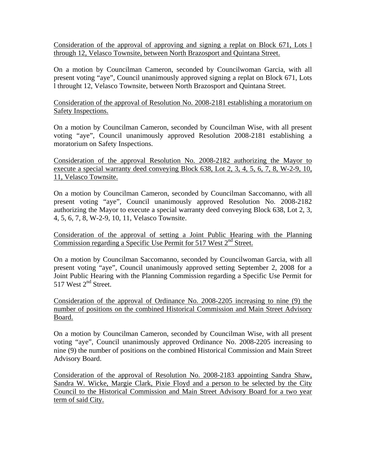Consideration of the approval of approving and signing a replat on Block 671, Lots l through 12, Velasco Townsite, between North Brazosport and Quintana Street.

On a motion by Councilman Cameron, seconded by Councilwoman Garcia, with all present voting "aye", Council unanimously approved signing a replat on Block 671, Lots l throught 12, Velasco Townsite, between North Brazosport and Quintana Street.

Consideration of the approval of Resolution No. 2008-2181 establishing a moratorium on Safety Inspections.

On a motion by Councilman Cameron, seconded by Councilman Wise, with all present voting "aye", Council unanimously approved Resolution 2008-2181 establishing a moratorium on Safety Inspections.

Consideration of the approval Resolution No. 2008-2182 authorizing the Mayor to execute a special warranty deed conveying Block 638, Lot 2, 3, 4, 5, 6, 7, 8, W-2-9, 10, 11, Velasco Townsite.

On a motion by Councilman Cameron, seconded by Councilman Saccomanno, with all present voting "aye", Council unanimously approved Resolution No. 2008-2182 authorizing the Mayor to execute a special warranty deed conveying Block 638, Lot 2, 3, 4, 5, 6, 7, 8, W-2-9, 10, 11, Velasco Townsite.

Consideration of the approval of setting a Joint Public Hearing with the Planning Commission regarding a Specific Use Permit for 517 West  $2<sup>nd</sup>$  Street.

On a motion by Councilman Saccomanno, seconded by Councilwoman Garcia, with all present voting "aye", Council unanimously approved setting September 2, 2008 for a Joint Public Hearing with the Planning Commission regarding a Specific Use Permit for 517 West 2<sup>nd</sup> Street.

Consideration of the approval of Ordinance No. 2008-2205 increasing to nine (9) the number of positions on the combined Historical Commission and Main Street Advisory Board.

On a motion by Councilman Cameron, seconded by Councilman Wise, with all present voting "aye", Council unanimously approved Ordinance No. 2008-2205 increasing to nine (9) the number of positions on the combined Historical Commission and Main Street Advisory Board.

Consideration of the approval of Resolution No. 2008-2183 appointing Sandra Shaw, Sandra W. Wicke, Margie Clark, Pixie Floyd and a person to be selected by the City Council to the Historical Commission and Main Street Advisory Board for a two year term of said City.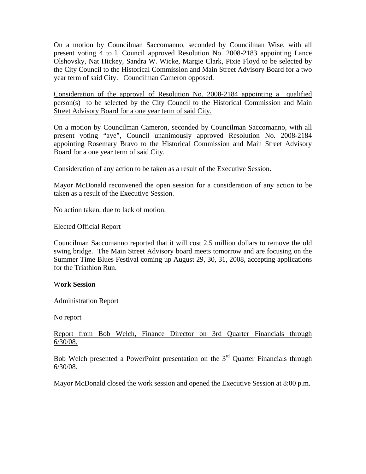On a motion by Councilman Saccomanno, seconded by Councilman Wise, with all present voting 4 to l, Council approved Resolution No. 2008-2183 appointing Lance Olshovsky, Nat Hickey, Sandra W. Wicke, Margie Clark, Pixie Floyd to be selected by the City Council to the Historical Commission and Main Street Advisory Board for a two year term of said City. Councilman Cameron opposed.

Consideration of the approval of Resolution No. 2008-2184 appointing a qualified person(s) to be selected by the City Council to the Historical Commission and Main Street Advisory Board for a one year term of said City.

On a motion by Councilman Cameron, seconded by Councilman Saccomanno, with all present voting "aye", Council unanimously approved Resolution No. 2008-2184 appointing Rosemary Bravo to the Historical Commission and Main Street Advisory Board for a one year term of said City.

# Consideration of any action to be taken as a result of the Executive Session.

Mayor McDonald reconvened the open session for a consideration of any action to be taken as a result of the Executive Session.

No action taken, due to lack of motion.

## Elected Official Report

Councilman Saccomanno reported that it will cost 2.5 million dollars to remove the old swing bridge. The Main Street Advisory board meets tomorrow and are focusing on the Summer Time Blues Festival coming up August 29, 30, 31, 2008, accepting applications for the Triathlon Run.

## W**ork Session**

## Administration Report

No report

# Report from Bob Welch, Finance Director on 3rd Quarter Financials through 6/30/08.

Bob Welch presented a PowerPoint presentation on the  $3<sup>rd</sup>$  Quarter Financials through 6/30/08.

Mayor McDonald closed the work session and opened the Executive Session at 8:00 p.m.